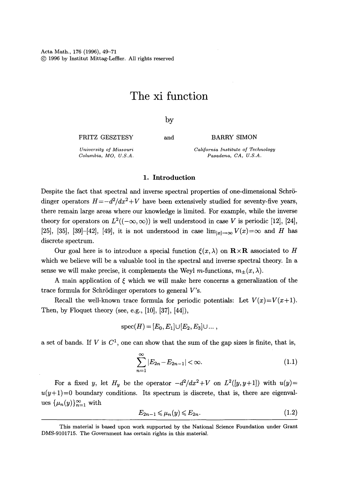Acta Math., 176 (1996), 49-71 (~) 1996 by Institut Mittag-Leffier. All rights reserved

# **The xi function**

by

FRITZ GESZTESY *University of Missouri* 

*Columbia, MO, U.S.A.* 

and BARRY SIMON

*California Institute of Technology Pasadena, CA, U.S.A.* 

#### 1. Introduction

Despite the fact that spectral and inverse spectral properties of one-dimensional Schrödinger operators  $H = -d^2/dx^2 + V$  have been extensively studied for seventy-five years, there remain large areas where our knowledge is limited. For example, while the inverse theory for operators on  $L^2((-\infty,\infty))$  is well understood in case V is periodic [12], [24], [25], [35], [39]-[42], [49], it is not understood in case  $\lim_{|x|\to\infty} V(x)=\infty$  and H has discrete spectrum.

Our goal here is to introduce a special function  $\xi(x,\lambda)$  on  $\mathbf{R}\times\mathbf{R}$  associated to H which we believe will be a valuable tool in the spectral and inverse spectral theory. In a sense we will make precise, it complements the Weyl m-functions,  $m_{+}(x, \lambda)$ .

A main application of  $\xi$  which we will make here concerns a generalization of the trace formula for Schrödinger operators to general  $V$ 's.

Recall the well-known trace formula for periodic potentials: Let  $V(x)=V(x+1)$ . Then, by Floquet theory (see, e.g., [10], [37], [44]),

$$
spec(H)=[E_0,E_1]\cup [E_2,E_3]\cup ... ,
$$

a set of bands. If V is  $C^1$ , one can show that the sum of the gap sizes is finite, that is,

$$
\sum_{n=1}^{\infty} |E_{2n} - E_{2n-1}| < \infty. \tag{1.1}
$$

For a fixed y, let  $H_y$  be the operator  $-d^2/dx^2+V$  on  $L^2([y, y+1])$  with  $u(y)=$  $u(y+1)=0$  boundary conditions. Its spectrum is discrete, that is, there are eigenvalues  $\{\mu_n(y)\}_{n=1}^{\infty}$  with

$$
E_{2n-1} \leqslant \mu_n(y) \leqslant E_{2n}.\tag{1.2}
$$

This material is based upon work supported by the National Science Foundation under Grant DMS-9101715. The Government has certain rights in this material.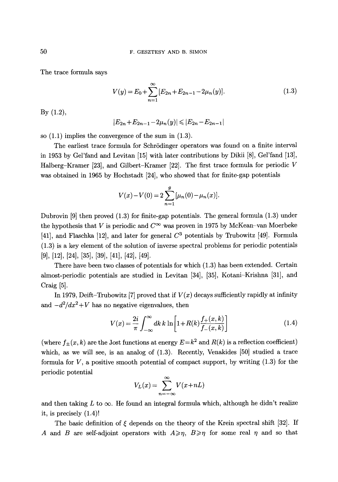The trace formula says

$$
V(y) = E_0 + \sum_{n=1}^{\infty} [E_{2n} + E_{2n-1} - 2\mu_n(y)].
$$
\n(1.3)

By (1.2),

$$
|E_{2n}+E_{2n-1}-2\mu_n(y)|\leq |E_{2n}-E_{2n-1}|
$$

so (1.1) implies the convergence of the sum in (1.3).

The earliest trace formula for Schrödinger operators was found on a finite interval in 1953 by Gel'fand and Levitan [15] with later contributions by Dikii [8], Gel'fand [13], Halberg-Kramer [23], and Gilbert-Kramer [22]. The first trace formula for periodic V was obtained in 1965 by Hochstadt [24], who showed that for finite-gap potentials

$$
V(x) - V(0) = 2 \sum_{n=1}^{g} [\mu_n(0) - \mu_n(x)].
$$

Dubrovin [9] then proved (1.3) for finite-gap potentials. The general formula (1.3) under the hypothesis that V is periodic and  $C^{\infty}$  was proven in 1975 by McKean-van Moerbeke [41], and Flaschka [12], and later for general  $C^3$  potentials by Trubowitz [49]. Formula (1.3) is a key element of the solution of inverse spectral problems for periodic potentials [9], [12], [24], [35], [39], [41], [42], [49].

There have been two classes of potentials for which (1.3) has been extended. Certain almost-periodic potentials are studied in Levitan [34], [35], Kotani-Krishna [31], and **Craig [51.** 

In 1979, Deift-Trubowitz [7] proved that if  $V(x)$  decays sufficiently rapidly at infinity and  $-d^2/dx^2+V$  has no negative eigenvalues, then

$$
V(x) = \frac{2i}{\pi} \int_{-\infty}^{\infty} dk \, k \, \ln \left[ 1 + R(k) \frac{f_+(x, k)}{f_-(x, k)} \right] \tag{1.4}
$$

(where  $f_{\pm}(x, k)$  are the Jost functions at energy  $E = k^2$  and  $R(k)$  is a reflection coefficient) which, as we will see, is an analog of  $(1.3)$ . Recently, Venakides  $[50]$  studied a trace formula for  $V$ , a positive smooth potential of compact support, by writing  $(1.3)$  for the periodic potential

$$
V_L(x) = \sum_{n=-\infty}^{\infty} V(x + nL)
$$

and then taking L to  $\infty$ . He found an integral formula which, although he didn't realize it, is precisely (1.4)!

The basic definition of  $\xi$  depends on the theory of the Krein spectral shift [32]. If A and B are self-adjoint operators with  $A \geqslant \eta$ ,  $B \geqslant \eta$  for some real  $\eta$  and so that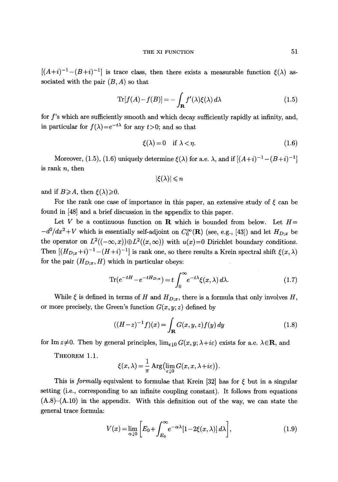$[(A+i)^{-1}-(B+i)^{-1}]$  is trace class, then there exists a measurable function  $\xi(\lambda)$  associated with the pair  $(B, A)$  so that

$$
\text{Tr}[f(A) - f(B)] = -\int_{\mathbf{R}} f'(\lambda)\xi(\lambda) d\lambda \tag{1.5}
$$

for f's which are sufficiently smooth and which decay sufficiently rapidly at infinity, and, in particular for  $f(\lambda) = e^{-t\lambda}$  for any  $t > 0$ ; and so that

$$
\xi(\lambda) = 0 \quad \text{if } \lambda < \eta. \tag{1.6}
$$

Moreover, (1.5), (1.6) uniquely determine  $\mathcal{E}(\lambda)$  for a.e.  $\lambda$ , and if  $[(A+i)^{-1}-(B+i)^{-1}]$ is rank  $n$ , then

$$
|\xi(\lambda)| \leqslant n
$$

and if  $B \ge A$ , then  $\xi(\lambda) \ge 0$ .

For the rank one case of importance in this paper, an extensive study of  $\xi$  can be found in [48] and a brief discussion in the appendix to this paper.

Let V be a continuous function on R which is bounded from below. Let  $H=$  $-d^2/dx^2+V$  which is essentially self-adjoint on  $C_0^{\infty}(\mathbf{R})$  (see, e.g., [43]) and let  $H_{D;x}$  be the operator on  $L^2((-\infty, x)) \oplus L^2((x, \infty))$  with  $u(x)=0$  Dirichlet boundary conditions. Then  $[(H_{D;x}+i)^{-1}-(H+i)^{-1}]$  is rank one, so there results a Krein spectral shift  $\xi(x, \lambda)$ for the pair  $(H_{D;x}, H)$  which in particular obeys:

$$
\text{Tr}(e^{-tH} - e^{-tH_{D;x}}) = t \int_0^\infty e^{-t\lambda} \xi(x,\lambda) d\lambda. \tag{1.7}
$$

While  $\xi$  is defined in terms of H and  $H_{D;x}$ , there is a formula that only involves H, or more precisely, the Green's function  $G(x, y; z)$  defined by

$$
((H-z)^{-1}f)(x) = \int_{\mathbf{R}} G(x, y, z) f(y) dy
$$
 (1.8)

for Im  $z\neq 0$ . Then by general principles,  $\lim_{\varepsilon\downarrow 0} G(x, y; \lambda + i\varepsilon)$  exists for a.e.  $\lambda \in \mathbb{R}$ , and

THEOREM 1.1.

$$
\xi(x,\lambda) = \frac{1}{\pi} \operatorname{Arg} \left( \lim_{\varepsilon \downarrow 0} G(x,x,\lambda + i\varepsilon) \right).
$$

This is *formally* equivalent to formulae that Krein  $[32]$  has for  $\xi$  but in a singular setting (i.e., corresponding to an infinite coupling constant). It follows from equations  $(A.8)$ - $(A.10)$  in the appendix. With this definition out of the way, we can state the general trace formula:

$$
V(x) = \lim_{\alpha \downarrow 0} \left[ E_0 + \int_{E_0}^{\infty} e^{-\alpha \lambda} [1 - 2\xi(x, \lambda)] d\lambda \right],
$$
 (1.9)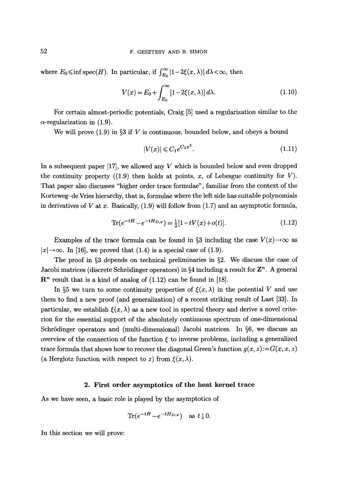where  $E_0 \le \inf \mathrm{spec}(H)$ . In particular, if  $\int_{E_0}^{\infty} |1 - 2\xi(x, \lambda)| d\lambda < \infty$ , then

$$
V(x) = E_0 + \int_{E_0}^{\infty} [1 - 2\xi(x, \lambda)] d\lambda.
$$
 (1.10)

For certain almost-periodic potentials, Craig [5] used a regularization similar to the  $\alpha$ -regularization in (1.9).

We will prove  $(1.9)$  in §3 if V is continuous, bounded below, and obeys a bound

$$
|V(x)| \leq C_1 e^{C_2 x^2}.
$$
\n(1.11)

In a subsequent paper  $[17]$ , we allowed any V which is bounded below and even dropped the continuity property  $((1.9)$  then holds at points, x, of Lebesgue continuity for V). That paper also discusses "higher order trace formulae", familiar from the context of the Korteweg-de Vries hierarchy, that is, formulae where the left side has suitable polynomials in derivatives of V at x. Basically,  $(1.9)$  will follow from  $(1.7)$  and an asymptotic formula,

$$
\text{Tr}(e^{-tH} - e^{-tH_{D;x}}) = \frac{1}{2}[1 - tV(x) + o(t)].\tag{1.12}
$$

Examples of the trace formula can be found in §3 including the case  $V(x) \rightarrow \infty$  as  $|x| \rightarrow \infty$ . In [16], we proved that (1.4) is a special case of (1.9).

The proof in §3 depends on technical preliminaries in §2. We discuss the case of Jacobi matrices (discrete Schrödinger operators) in §4 including a result for  $\mathbf{Z}^n$ . A general  $\mathbb{R}^n$  result that is a kind of analog of (1.12) can be found in [18].

In §5 we turn to some continuity properties of  $\xi(x, \lambda)$  in the potential V and use them to find a new proof (and generalization) of a recent striking result of Last [33]. In particular, we establish  $\xi(x, \lambda)$  as a new tool in spectral theory and derive a novel criterion for the essential support of the absolutely continuous spectrum of one-dimensional Schrödinger operators and (multi-dimensional) Jacobi matrices. In  $\S6$ , we discuss an overview of the connection of the function  $\xi$  to inverse problems, including a generalized trace formula that shows how to recover the diagonal Green's function  $g(x, z) := G(x, x, z)$ (a Herglotz function with respect to z) from  $\xi(x, \lambda)$ .

# 2. **First order asymptotics of the** heat kernel **trace**

As we have seen, a basic role is played by the asymptotics of

$$
\text{Tr}(e^{-tH}-e^{-tH_{D;x}}) \quad \text{as } t \downarrow 0.
$$

In this section we will prove: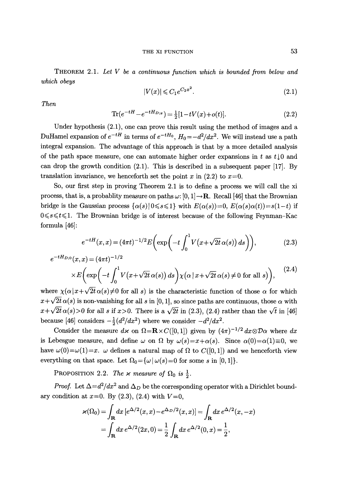THEOREM 2.1. *Let V be a continuous function which is bounded from below and which obeys* 

$$
|V(x)| \leqslant C_1 e^{C_2 x^2}.\tag{2.1}
$$

*Then* 

$$
\text{Tr}(e^{-tH} - e^{-tH_{D;x}}) = \frac{1}{2}[1 - tV(x) + o(t)].\tag{2.2}
$$

Under hypothesis (2.1), one can prove this result using the method of images and a DuHamel expansion of  $e^{-tH}$  in terms of  $e^{-tH_0}$ ,  $H_0 = -d^2/dx^2$ . We will instead use a path integral expansion. The advantage of this approach is that by a more detailed analysis of the path space measure, one can automate higher order expansions in t as  $t \downarrow 0$  and can drop the growth condition (2.1). This is described in a subsequent paper [17]. By translation invariance, we henceforth set the point x in  $(2.2)$  to  $x=0$ .

So, our first step in proving Theorem 2.1 is to define a process we will call the xi process, that is, a probablity measure on paths  $\omega$ : [0, 1] $\rightarrow$ **R**. Recall [46] that the Brownian bridge is the Gaussian process  $\{\alpha(s)|0 \leq s \leq 1\}$  with  $E(\alpha(s))=0$ ,  $E(\alpha(s)\alpha(t))=s(1-t)$  if  $0 \leq s \leq t \leq 1$ . The Brownian bridge is of interest because of the following Feynman-Kac formula [46]:

$$
e^{-tH}(x,x) = (4\pi t)^{-1/2} E\left(\exp\left(-t\int_0^1 V(x+\sqrt{2t}\,\alpha(s))\,ds\right)\right),\tag{2.3}
$$

$$
e^{-tH_{D;0}}(x,x) = (4\pi t)^{-1/2}
$$
  
 
$$
\times E\left(\exp\left(-t\int_0^1 V(x+\sqrt{2t}\,\alpha(s))\,ds\right)\chi(\alpha\,|\,x+\sqrt{2t}\,\alpha(s)\neq 0\text{ for all }s)\right),\tag{2.4}
$$

where  $\chi(\alpha|x+\sqrt{2t}\,\alpha(s)\neq 0$  for all s) is the characteristic function of those  $\alpha$  for which  $x + \sqrt{2t} \alpha(s)$  is non-vanishing for all s in [0, 1], so since paths are continuous, those  $\alpha$  with  $x+\sqrt{2t}\,\alpha(s)>0$  for all s if  $x>0$ . There is a  $\sqrt{2t}$  in (2.3), (2.4) rather than the  $\sqrt{t}$  in [46] because [46] considers  $-\frac{1}{2}(d^2/dx^2)$  where we consider  $-d^2/dx^2$ .

Consider the measure  $d\mathbf{x}$  on  $\Omega = \mathbf{R} \times C([0, 1])$  given by  $(4\pi)^{-1/2} dx \otimes \mathcal{D}\alpha$  where  $dx$ is Lebesgue measure, and define  $\omega$  on  $\Omega$  by  $\omega(s)=x+\alpha(s)$ . Since  $\alpha(0)=\alpha(1)\equiv 0$ , we have  $\omega(0) = \omega(1) = x$ .  $\omega$  defines a natural map of  $\Omega$  to  $C([0, 1])$  and we henceforth view everything on that space. Let  $\Omega_0=\{\omega | \omega(s)=0 \text{ for some } s \text{ in } [0,1]\}.$ 

PROPOSITION 2.2. *The x measure of*  $\Omega_0$  is  $\frac{1}{2}$ .

*Proof.* Let  $\Delta = d^2/dx^2$  and  $\Delta_D$  be the corresponding operator with a Dirichlet boundary condition at  $x=0$ . By  $(2.3)$ ,  $(2.4)$  with  $V=0$ ,

$$
\varkappa(\Omega_0) = \int_{\mathbf{R}} dx \, [e^{\Delta/2}(x, x) - e^{\Delta_D/2}(x, x)] = \int_{\mathbf{R}} dx \, e^{\Delta/2}(x, -x)
$$

$$
= \int_{\mathbf{R}} dx \, e^{\Delta/2}(2x, 0) = \frac{1}{2} \int_{\mathbf{R}} dx \, e^{\Delta/2}(0, x) = \frac{1}{2},
$$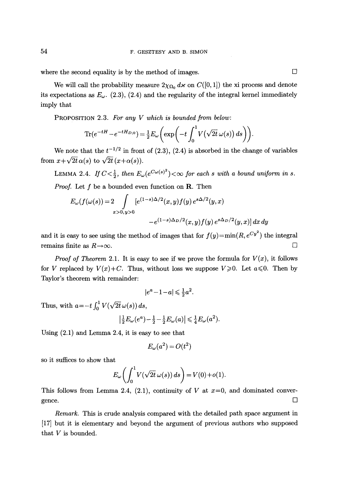where the second equality is by the method of images.  $\Box$ 

We will call the probability measure  $2\chi_{\Omega_0} d\nu$  on  $C([0, 1])$  the xi process and denote its expectations as  $E_{\omega}$ . (2.3), (2.4) and the regularity of the integral kernel immediately imply that

PROPOSITION 2.3. *For any V which is bounded from below:* 

$$
\text{Tr}(e^{-tH}-e^{-tH_{D;0}})=\tfrac{1}{2}E_{\omega}\left(\exp\left(-t\int_0^1 V(\sqrt{2t}\,\omega(s))\,ds\right)\right).
$$

We note that the  $t^{-1/2}$  in front of (2.3), (2.4) is absorbed in the change of variables from  $x + \sqrt{2t} \alpha(s)$  to  $\sqrt{2t} (x + \alpha(s))$ .

LEMMA 2.4. If  $C < \frac{1}{2}$ , then  $E_{\omega}(e^{C\omega(s)^{2}}) < \infty$  for each s with a bound uniform in s. *Proof.* Let f be a bounded even function on **R**. Then

$$
E_{\omega}(f(\omega(s))) = 2 \int_{x>0, y>0} [e^{(1-s)\Delta/2}(x, y)f(y) e^{s\Delta/2}(y, x)
$$
  

$$
-e^{(1-s)\Delta_D/2}(x, y)f(y) e^{s\Delta_D/2}(y, x)] dx dy
$$

and it is easy to see using the method of images that for  $f(y)=min(R, e^{Cy^2})$  the integral remains finite as  $R \rightarrow \infty$ .

*Proof of Theorem 2.1.* It is easy to see if we prove the formula for  $V(x)$ , it follows for V replaced by  $V(x)+C$ . Thus, without loss we suppose  $V\geq 0$ . Let  $a\leq 0$ . Then by Taylor's theorem with remainder:

$$
|e^a - 1 - a| \leq \frac{1}{2}a^2.
$$

Thus, with  $a=-t \int_0^1 V(\sqrt{2t} \omega(s)) ds$ ,

$$
\left|\tfrac{1}{2}E_{\omega}(e^a)-\tfrac{1}{2}-\tfrac{1}{2}E_{\omega}(a)\right|\leqslant \tfrac{1}{4}E_{\omega}(a^2).
$$

Using (2.1) and Lemma 2.4, it is easy to see that

$$
E_{\omega}(a^2) = O(t^2)
$$

so it suffices to show that

$$
E_{\omega}\left(\int_0^1 V(\sqrt{2t} \omega(s)) ds\right) = V(0) + o(1).
$$

This follows from Lemma 2.4,  $(2.1)$ , continuity of V at  $x=0$ , and dominated convergence.  $\qquad \qquad \Box$ 

*Remark.* This is crude analysis compared with the detailed path space argument in [17] but it is elementary and beyond the argument of previous authors who supposed that V is bounded.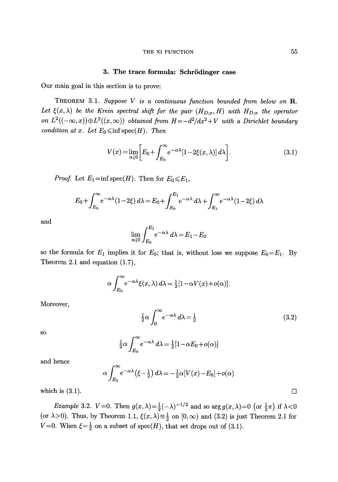#### THE XI FUNCTION 55

# 3. The trace formula: Schrödinger case

Our main goal in this section is to prove:

THEOREM 3.1. *Suppose V is a continuous function bounded from below on R.*  Let  $\xi(x, \lambda)$  be the Krein spectral shift for the pair  $(H_{D;x}, H)$  with  $H_{D;x}$  the operator *on*  $L^2((-\infty, x)) \oplus L^2((x, \infty))$  *obtained from*  $H = -d^2/dx^2 + V$  *with a Dirichlet boundary condition at x. Let*  $E_0 \leq \inf \text{spec}(H)$ . *Then* 

$$
V(x) = \lim_{\alpha \downarrow 0} \left[ E_0 + \int_{E_0}^{\infty} e^{-\alpha \lambda} [1 - 2\xi(x, \lambda)] d\lambda \right].
$$
 (3.1)

*Proof.* Let  $E_1 = \inf \text{spec}(H)$ . Then for  $E_0 \leq E_1$ ,

$$
E_0 + \int_{E_0}^{\infty} e^{-\alpha \lambda} (1 - 2\xi) d\lambda = E_0 + \int_{E_0}^{E_1} e^{-\alpha \lambda} d\lambda + \int_{E_1}^{\infty} e^{-\alpha \lambda} (1 - 2\xi) d\lambda
$$

and

$$
\lim_{\alpha \downarrow 0} \int_{E_0}^{E_1} e^{-\alpha \lambda} d\lambda = E_1 - E_0
$$

so the formula for  $E_1$  implies it for  $E_0$ ; that is, without loss we suppose  $E_0=E_1$ . By Theorem 2.1 and equation (1.7),

$$
\alpha \int_{E_0}^{\infty} e^{-\alpha \lambda} \xi(x, \lambda) d\lambda = \frac{1}{2} [1 - \alpha V(x) + o(\alpha)].
$$

Moreover,

$$
\frac{1}{2}\alpha \int_0^\infty e^{-\alpha \lambda} d\lambda = \frac{1}{2}
$$
 (3.2)

SO

$$
\frac{1}{2}\alpha \int_{E_0}^{\infty} e^{-\alpha \lambda} d\lambda = \frac{1}{2} [1 - \alpha E_0 + o(\alpha)]
$$

and hence

$$
\alpha \int_{E_0}^{\infty} e^{-\alpha \lambda} \left( \xi - \frac{1}{2} \right) d\lambda = -\frac{1}{2} \alpha \left[ V(x) - E_0 \right] + o(\alpha)
$$

which is  $(3.1)$ .

*Example 3.2.*  $V=0$ . Then  $g(x,\lambda)=\frac{1}{2}(-\lambda)^{-1/2}$  and so  $\arg g(x,\lambda)=0$  (or  $\frac{1}{2}\pi$ ) if  $\lambda<0$ (or  $\lambda > 0$ ). Thus, by Theorem 1.1,  $\xi(x, \lambda) \equiv \frac{1}{2}$  on  $[0, \infty)$  and (3.2) is just Theorem 2.1 for  $V=0$ . When  $\xi = \frac{1}{2}$  on a subset of spec(H), that set drops out of (3.1).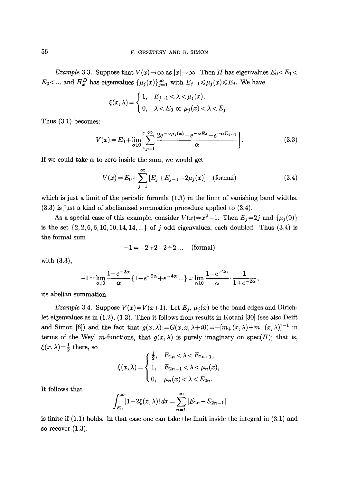*Example 3.3.* Suppose that  $V(x) \to \infty$  as  $|x| \to \infty$ . Then H has eigenvalues  $E_0 \lt E_1 \lt \infty$  $E_2$ <... and  $H_x^D$  has eigenvalues  $\{\mu_j(x)\}_{j=1}^{\infty}$  with  $E_{j-1} \leq \mu_j(x) \leq E_j$ . We have

$$
\xi(x,\lambda) = \begin{cases} 1, & E_{j-1} < \lambda < \mu_j(x), \\ 0, & \lambda < E_0 \text{ or } \mu_j(x) < \lambda < E_j. \end{cases}
$$

Thus (3.1) becomes:

$$
V(x) = E_0 + \lim_{\alpha \downarrow 0} \left[ \sum_{j=1}^{\infty} \frac{2e^{-\alpha \mu_j(x)} - e^{-\alpha E_j} - e^{-\alpha E_{j-1}}}{\alpha} \right].
$$
 (3.3)

If we could take  $\alpha$  to zero inside the sum, we would get

$$
V(x) = E_0 + \sum_{j=1}^{\infty} [E_j + E_{j-1} - 2\mu_j(x)] \quad \text{(formal)}
$$
 (3.4)

which is just a limit of the periodic formula  $(1.3)$  in the limit of vanishing band widths. (3.3) is just a kind of abelianized summation procedure applied to (3.4).

As a special case of this example, consider  $V(x)=x^2-1$ . Then  $E_i=2j$  and  $\{\mu_i(0)\}\$ is the set  $\{2, 2, 6, 6, 10, 10, 14, 14, ...\}$  of j odd eigenvalues, each doubled. Thus  $(3.4)$  is the formal sum

$$
-1 = -2 + 2 - 2 + 2
$$
 ... (formal)

with (3.3),

$$
-1=\lim_{\alpha\downarrow 0}\frac{1-e^{-2\alpha}}{\alpha}\{1-e^{-2\alpha}+e^{-4\alpha}\ldots\}=\lim_{\alpha\downarrow 0}\frac{1-e^{-2\alpha}}{\alpha}\cdot\frac{1}{1+e^{-2\alpha}}\,,
$$

its abelian summation.

*Example 3.4.* Suppose  $V(x)=V(x+1)$ . Let  $E_j$ ,  $\mu_j(x)$  be the band edges and Dirichlet eigenvalues as in (1.2), (1.3). Then it follows from results in Kotani [30] (see also Deift and Simon [6]) and the fact that  $g(x, \lambda) := G(x, x, \lambda + i0) = -[m_+(x, \lambda) + m_-(x, \lambda)]^{-1}$  in terms of the Weyl m-functions, that  $g(x, \lambda)$  is purely imaginary on spec $(H)$ ; that is,  $\xi(x, \lambda) = \frac{1}{2}$  there, so

$$
\xi(x,\lambda) = \begin{cases} \frac{1}{2}, & E_{2n} < \lambda < E_{2n+1}, \\ 1, & E_{2n-1} < \lambda < \mu_n(x), \\ 0, & \mu_n(x) < \lambda < E_{2n}. \end{cases}
$$

It follows that

$$
\int_{E_0}^{\infty} |1 - 2\xi(x, \lambda)| dx = \sum_{n=1}^{\infty} |E_{2n} - E_{2n-1}|
$$

is finite if  $(1.1)$  holds. In that case one can take the limit inside the integral in  $(3.1)$  and so recover  $(1.3)$ .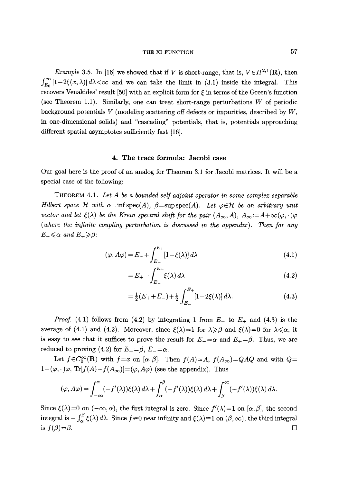## THE XI FUNCTION 57

*Example 3.5.* In [16] we showed that if V is short-range, that is,  $V \in H^{2,1}(\mathbf{R})$ , then  $\int_{E_0}^{\infty} |1-2\xi(x,\lambda)| d\lambda < \infty$  and we can take the limit in (3.1) inside the integral. This recovers Venakides' result [50] with an explicit form for  $\xi$  in terms of the Green's function (see Theorem 1.1). Similarly, one can treat short-range perturbations W of periodic background potentials V (modeling scattering off defects or impurities, described by *W,*  in one-dimensional solids) and "cascading" potentials, that is, potentials approaching different spatial asymptotes sufficiently fast [16].

## 4. The trace formula: Jacobi case

Our goal here is the proof of an analog for Theorem 3.1 for Jacobi matrices. It will be a special case of the following:

THEOREM 4.1. *Let A be a bounded self-adjoint operator in some complex separable Hilbert space*  $\mathcal H$  with  $\alpha = \inf \text{spec}(A)$ ,  $\beta = \sup \text{spec}(A)$ . Let  $\varphi \in \mathcal H$  be an arbitrary unit *vector and let*  $\xi(\lambda)$  *be the Krein spectral shift for the pair*  $(A_{\infty}, A)$ ,  $A_{\infty} := A + \infty(\varphi, \cdot) \varphi$ *(where the infinite coupling perturbation is discussed in the appendix). Then for any*   $E_-\leqslant\alpha$  and  $E_+\geqslant\beta$ :

$$
(\varphi, A\varphi) = E_{-} + \int_{E_{-}}^{E_{+}} [1 - \xi(\lambda)] d\lambda
$$
\n(4.1)

$$
=E_{+} - \int_{E_{-}}^{E_{+}} \xi(\lambda) d\lambda \tag{4.2}
$$

$$
=\frac{1}{2}(E_{+}+E_{-})+\frac{1}{2}\int_{E_{-}}^{E_{+}}[1-2\xi(\lambda)]\,d\lambda.\tag{4.3}
$$

*Proof.* (4.1) follows from (4.2) by integrating 1 from  $E_{-}$  to  $E_{+}$  and (4.3) is the average of (4.1) and (4.2). Moreover, since  $\xi(\lambda)=1$  for  $\lambda \geq \beta$  and  $\xi(\lambda)=0$  for  $\lambda \leq \alpha$ , it is easy to see that it suffices to prove the result for  $E_-=\alpha$  and  $E_+=\beta$ . Thus, we are reduced to proving (4.2) for  $E_{+}=\beta$ ,  $E_{-}=\alpha$ .

Let  $f \in C_0^{\infty}(\mathbf{R})$  with  $f=x$  on  $[\alpha,\beta]$ . Then  $f(A)=A$ ,  $f(A_{\infty})=QAQ$  and with  $Q=$  $1-(\varphi,\cdot)\varphi$ ,  $\text{Tr}[f(A)-f(A_{\infty})]=(\varphi,A\varphi)$  (see the appendix). Thus

$$
(\varphi, A\varphi) = \int_{-\infty}^{\alpha} (-f'(\lambda))\xi(\lambda) d\lambda + \int_{\alpha}^{\beta} (-f'(\lambda))\xi(\lambda) d\lambda + \int_{\beta}^{\infty} (-f'(\lambda))\xi(\lambda) d\lambda.
$$

Since  $\xi(\lambda)=0$  on  $(-\infty, \alpha)$ , the first integral is zero. Since  $f'(\lambda)=1$  on  $[\alpha, \beta]$ , the second integral is  $-\int_{\alpha}^{\beta} \xi(\lambda) d\lambda$ . Since  $f \equiv 0$  near infinity and  $\xi(\lambda) \equiv 1$  on  $(\beta, \infty)$ , the third integral is  $f(\beta)=\beta$ .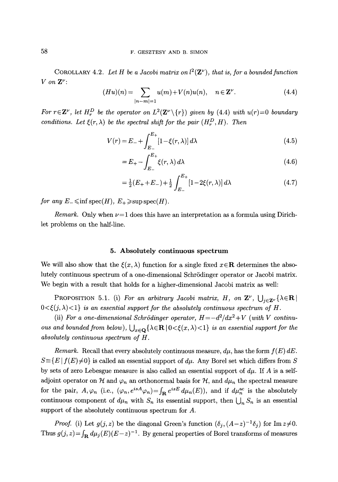COROLLARY 4.2. Let H be a Jacobi matrix on  $l^2(\mathbf{Z}^{\nu})$ , that is, for a bounded function  $V$  on  $\mathbf{Z}^{\nu}$ :

$$
(Hu)(n) = \sum_{|n-m|=1} u(m) + V(n)u(n), \quad n \in \mathbb{Z}^{\nu}.
$$
 (4.4)

*For*  $r \in \mathbb{Z}^{\nu}$ , let  $H_r^D$  be the operator on  $L^2(\mathbb{Z}^{\nu} \setminus \{r\})$  given by (4.4) with  $u(r)=0$  boundary *conditions. Let*  $\xi(r, \lambda)$  *be the spectral shift for the pair*  $(H_r^D, H)$ *. Then* 

$$
V(r) = E_{-} + \int_{E_{-}}^{E_{+}} [1 - \xi(r, \lambda)] d\lambda
$$
 (4.5)

$$
=E_{+} - \int_{E_{-}}^{E_{+}} \xi(r,\lambda) d\lambda \tag{4.6}
$$

$$
=\frac{1}{2}(E_{+}+E_{-})+\frac{1}{2}\int_{E_{-}}^{E_{+}}[1-2\xi(r,\lambda)]\,d\lambda\tag{4.7}
$$

*for any*  $E_{-} \leq \inf \text{spec}(H), E_{+} \geq \sup \text{spec}(H)$ .

*Remark.* Only when  $\nu = 1$  does this have an interpretation as a formula using Dirichlet problems on the half-line.

### 5. Absolutely continuous spectrum

We will also show that the  $\xi(x, \lambda)$  function for a single fixed  $x \in \mathbb{R}$  determines the absolutely continuous spectrum of a one-dimensional Schrödinger operator or Jacobi matrix. We begin with a result that holds for a higher-dimensional Jacobi matrix as well:

PROPOSITION 5.1. (i) *For an arbitrary Jacobi matrix, H, on*  $\mathbf{Z}^{\nu}$ ,  $\bigcup_{j\in\mathbf{Z}^{\nu}}\{\lambda \in \mathbf{R}\}\$  $0 < \xi(j, \lambda) < 1$  *is an essential support for the absolutely continuous spectrum of H.* 

(ii) For a one-dimensional Schrödinger operator,  $H = -d^2/dx^2 + V$  (with V continu*ous and bounded from below),*  $\bigcup_{x \in \Omega} {\{\lambda \in \mathbf{R} \mid 0 \leq \xi(x, \lambda) \leq 1\}}$  *is an essential support for the absolutely continuous spectrum of H.* 

*Remark.* Recall that every absolutely continuous measure,  $d\mu$ , has the form  $f(E) dE$ .  $S = {E | f(E) \neq 0}$  is called an essential support of  $d\mu$ . Any Borel set which differs from S by sets of zero Lebesgue measure is also called an essential support of  $d\mu$ . If A is a selfadjoint operator on  $H$  and  $\varphi_n$  an orthonormal basis for  $H$ , and  $d\mu_n$  the spectral measure for the pair,  $A, \varphi_n$  (i.e.,  $(\varphi_n, e^{isA}\varphi_n) = \int_{\mathbf{R}} e^{isE} d\mu_n(E)$ ), and if  $d\mu_n^{\text{ac}}$  is the absolutely continuous component of  $d\mu_n$  with  $S_n$  its essential support, then  $\bigcup_n S_n$  is an essential support of the absolutely continuous spectrum for A.

*Proof.* (i) Let  $g(j, z)$  be the diagonal Green's function  $(\delta_j, (A-z)^{-1}\delta_j)$  for  $\text{Im } z \neq 0$ . Thus  $g(j, z) = \int_{\mathbf{R}} d\mu_j (E) (E-z)^{-1}$ . By general properties of Borel transforms of measures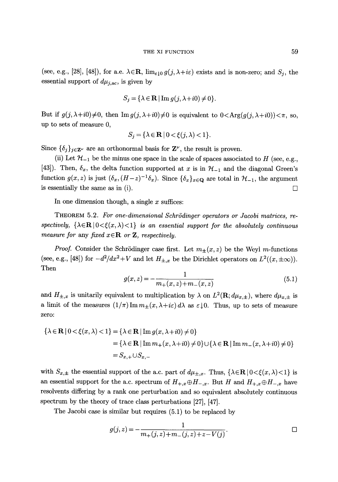(see, e.g., [28], [48]), for a.e.  $\lambda \in \mathbb{R}$ ,  $\lim_{\varepsilon \downarrow 0} g(j, \lambda + i\varepsilon)$  exists and is non-zero; and  $S_j$ , the essential support of  $d\mu_{j,ac}$ , is given by

$$
S_j = \{ \lambda \in \mathbf{R} \mid \text{Im } g(j, \lambda + i0) \neq 0 \}.
$$

But if  $g(j, \lambda + i0) \neq 0$ , then  $\text{Im } g(j, \lambda + i0) \neq 0$  is equivalent to  $0 < \text{Arg}(g(j, \lambda + i0)) < \pi$ , so, up to sets of measure 0,

$$
S_j = \{ \lambda \in \mathbf{R} \mid 0 < \xi(j, \lambda) < 1 \}.
$$

Since  $\{\delta_j\}_{j\in\mathbf{Z}^{\nu}}$  are an orthonormal basis for  $\mathbf{Z}^{\nu}$ , the result is proven.

(ii) Let  $\mathcal{H}_{-1}$  be the minus one space in the scale of spaces associated to H (see, e.g., [43]). Then,  $\delta_x$ , the delta function supported at x is in  $\mathcal{H}_{-1}$  and the diagonal Green's function  $g(x, z)$  is just  $(\delta_x, (H-z)^{-1}\delta_x)$ . Since  $\{\delta_x\}_{x \in \mathbf{Q}}$  are total in  $\mathcal{H}_{-1}$ , the argument is essentially the same as in (i).  $\Box$ 

In one dimension though, a single  $x$  suffices:

THEOREM 5.2. For one-dimensional Schrödinger operators or Jacobi matrices, respectively,  $\{\lambda \in \mathbf{R} \mid 0 < \xi(x, \lambda) < 1\}$  *is an essential support for the absolutely continuous measure for any fixed*  $x \in \mathbb{R}$  *or Z, respectively.* 

*Proof.* Consider the Schrödinger case first. Let  $m_{\pm}(x, z)$  be the Weyl m-functions (see, e.g., [48]) for  $-d^2/dx^2+V$  and let  $H_{\pm,x}$  be the Dirichlet operators on  $L^2((x,\pm\infty))$ . Then

$$
g(x,z) = -\frac{1}{m_+(x,z) + m_-(x,z)}\tag{5.1}
$$

and  $H_{\pm,x}$  is unitarily equivalent to multiplication by  $\lambda$  on  $L^2(\mathbf{R}; d\mu_{x,\pm})$ , where  $d\mu_{x,\pm}$  is a limit of the measures  $(1/\pi)\operatorname{Im} m_{\pm}(x,\lambda+i\varepsilon)d\lambda$  as  $\varepsilon\downarrow 0$ . Thus, up to sets of measure zero:

$$
\{\lambda \in \mathbf{R} \mid 0 < \xi(x, \lambda) < 1\} = \{\lambda \in \mathbf{R} \mid \text{Im } g(x, \lambda + i0) \neq 0\}
$$
\n
$$
= \{\lambda \in \mathbf{R} \mid \text{Im } m_+(x, \lambda + i0) \neq 0\} \cup \{\lambda \in \mathbf{R} \mid \text{Im } m_-(x, \lambda + i0) \neq 0\}
$$
\n
$$
= S_{x,+} \cup S_{x,-}
$$

with  $S_{x,\pm}$  the essential support of the a.c. part of  $d\mu_{\pm,x}$ . Thus,  $\{\lambda \in \mathbf{R} \mid 0 \leq \xi(x,\lambda) \leq 1\}$  is an essential support for the a.c. spectrum of  $H_{+,x} \oplus H_{-,x}$ . But H and  $H_{+,x} \oplus H_{-,x}$  have resolvents differing by a rank one perturbation and so equivalent absolutely continuous spectrum by the theory of trace class perturbations [27], [47].

The Jacobi case is similar but requires (5.1) to be replaced by

$$
g(j,z) = -\frac{1}{m_+(j,z) + m_-(j,z) + z - V(j)}.
$$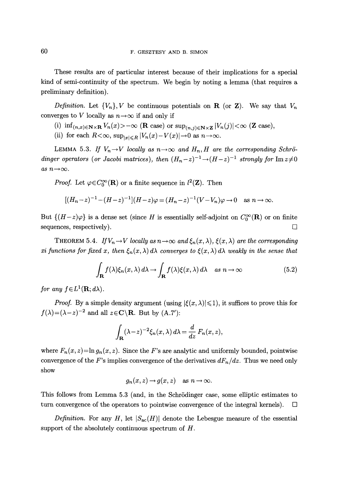These results are of particular interest because of their implications for a special kind of semi-continuity of the spectrum. We begin by noting a lemma (that requires a preliminary definition).

*Definition.* Let  $\{V_n\}$ , V be continuous potentials on **R** (or **Z**). We say that  $V_n$ converges to V locally as  $n \rightarrow \infty$  if and only if

(i)  $\inf_{(n,x)\in\mathbb{N}\times\mathbb{R}}V_n(x)\rangle-\infty$  (**R** case) or  $\sup_{(n,j)\in\mathbb{N}\times\mathbb{Z}}|V_n(j)|<\infty$  (**Z** case),

(ii) for each  $R<\infty$ ,  $\sup_{\vert x\vert\leq R} |V_n(x)-V(x)|\to 0$  as  $n\to\infty$ .

LEMMA 5.3. If  $V_n \rightarrow V$  *locally as n* $\rightarrow \infty$  and  $H_n$ , *H* are the corresponding Schrö*dinger operators (or Jacobi matrices), then*  $(H_n-z)^{-1} \rightarrow (H-z)^{-1}$  *strongly for*  $\text{Im } z \neq 0$  $as\ n\rightarrow\infty$ .

*Proof.* Let  $\varphi \in C_0^{\infty}(\mathbf{R})$  or a finite sequence in  $l^2(\mathbf{Z})$ . Then

$$
[(H_n-z)^{-1}-(H-z)^{-1}](H-z)\varphi = (H_n-z)^{-1}(V-V_n)\varphi \to 0 \text{ as } n \to \infty.
$$

But  $\{(H-z)\varphi\}$  is a dense set (since H is essentially self-adjoint on  $C_0^{\infty}(\mathbf{R})$  or on finite sequences, respectively).  $\Box$ 

THEOREM 5.4. *If*  $V_n \to V$  *locally as*  $n \to \infty$  and  $\xi_n(x, \lambda)$ ,  $\xi(x, \lambda)$  are the corresponding *xi functions for fixed x, then*  $\xi_n(x, \lambda) d\lambda$  converges to  $\xi(x, \lambda) d\lambda$  weakly in the sense that

$$
\int_{\mathbf{R}} f(\lambda) \xi_n(x, \lambda) d\lambda \to \int_{\mathbf{R}} f(\lambda) \xi(x, \lambda) d\lambda \quad \text{as } n \to \infty \tag{5.2}
$$

*for any*  $f \in L^1(\mathbf{R}; d\lambda)$ *.* 

*Proof.* By a simple density argument (using  $|\xi(x, \lambda)| \leq 1$ ), it suffices to prove this for  $f(\lambda)=(\lambda-z)^{-2}$  and all  $z\in\mathbb{C}\backslash\mathbb{R}$ . But by  $(A.7')$ :

$$
\int_{\mathbf{R}} (\lambda - z)^{-2} \xi_n(x, \lambda) d\lambda = \frac{d}{dz} F_n(x, z),
$$

where  $F_n(x, z) = \ln g_n(x, z)$ . Since the F's are analytic and uniformly bounded, pointwise convergence of the F's implies convergence of the derivatives  $dF_n/dz$ . Thus we need only show

$$
g_n(x, z) \to g(x, z)
$$
 as  $n \to \infty$ .

This follows from Lemma 5.3 (and, in the Schrödinger case, some elliptic estimates to turn convergence of the operators to pointwise convergence of the integral kernels).  $\Box$ 

*Definition.* For any H, let  $|S_{ac}(H)|$  denote the Lebesgue measure of the essential support of the absolutely continuous spectrum of  $H$ .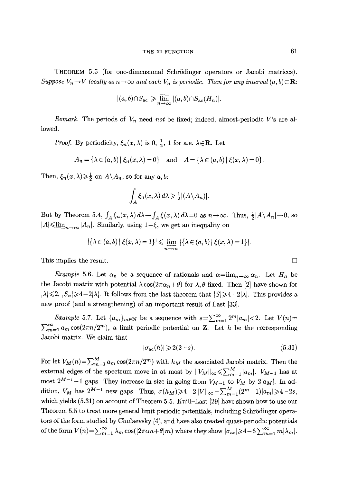THEOREM 5.5 (for one-dimensional SchrSdinger operators or Jacobi matrices). *Suppose*  $V_n \to V$  *locally as*  $n \to \infty$  and each  $V_n$  is periodic. Then for any interval  $(a, b) \subset \mathbb{R}$ :

$$
|(a,b)\cap S_{\rm ac}| \geqslant \overline{\lim}_{n\to\infty} |(a,b)\cap S_{\rm ac}(H_n)|.
$$

*Remark.* The periods of V, need *not* be fixed; indeed, almost-periodic V's are allowed.

*Proof.* By periodicity,  $\xi_n(x,\lambda)$  is 0,  $\frac{1}{2}$ , 1 for a.e.  $\lambda \in \mathbb{R}$ . Let

$$
A_n = \{ \lambda \in (a, b) | \xi_n(x, \lambda) = 0 \} \text{ and } A = \{ \lambda \in (a, b) | \xi(x, \lambda) = 0 \}.
$$

Then,  $\xi_n(x,\lambda) \geq \frac{1}{2}$  on  $A \setminus A_n$ , so for any *a, b*:

$$
\int_A \xi_n(x,\lambda) d\lambda \geq \frac{1}{2} |(A \setminus A_n)|
$$

But by Theorem 5.4,  $\int_A \xi_n(x,\lambda) d\lambda \to \int_A \xi(x,\lambda) d\lambda = 0$  as  $n \to \infty$ . Thus,  $\frac{1}{2} |A \setminus A_n| \to 0$ , so  $|A| \leq \underline{\lim}_{n \to \infty} |A_n|$ . Similarly, using  $1-\xi$ , we get an inequality on

$$
|\{\lambda \in (a,b) \mid \xi(x,\lambda)=1\}| \leq \lim_{n\to\infty} |\{\lambda \in (a,b) \mid \xi(x,\lambda)=1\}|.
$$

This implies the result.  $\Box$ 

*Example* 5.6. Let  $\alpha_n$  be a sequence of rationals and  $\alpha = \lim_{n \to \infty} \alpha_n$ . Let  $H_n$  be the Jacobi matrix with potential  $\lambda \cos(2\pi \alpha_n + \theta)$  for  $\lambda, \theta$  fixed. Then [2] have shown for  $|\lambda| \leq 2$ ,  $|S_n| \geq 4-2|\lambda|$ . It follows from the last theorem that  $|S| \geq 4-2|\lambda|$ . This provides a new proof (and a strengthening) of an important result of Last [33].

*Example* 5.7. Let  $\{a_m\}_{m\in\mathbb{N}}$  be a sequence with  $s=\sum_{m=1}^{\infty}2^m|a_m|<2$ . Let  $V(n)=$  $\sum_{m=1}^{\infty} a_m \cos(2\pi n/2^m)$ , a limit periodic potential on **Z**. Let h be the corresponding Jacobi matrix. We claim that

$$
|\sigma_{ac}(h)| \geqslant 2(2-s). \tag{5.31}
$$

For let  $V_M(n) = \sum_{m=1}^M a_m \cos(2\pi n/2^m)$  with  $h_M$  the associated Jacobi matrix. Then the external edges of the spectrum move in at most by  $||V_M||_{\infty} \leq \sum_{m=1}^{M} |a_m|$ .  $V_{M-1}$  has at most  $2^{M-1}-1$  gaps. They increase in size in going from  $V_{M-1}$  to  $V_M$  by  $2|a_M|$ . In addition,  $V_M$  has  $2^{M-1}$  new gaps. Thus,  $\sigma(h_M) \geq 4-2||V||_{\infty}-\sum_{m=1}^{M}(2^m-1)|a_m| \geq 4-2s$ , which yields (5.31) on account of Theorem 5.5. Knill-Last [29] have shown how to use our Theorem 5.5 to treat more general limit periodic potentials, including Schrödinger operators of the form studied by Chulaevsky [4], and have also treated quasi-periodic potentials of the form  $V(n) = \sum_{m=1}^{\infty} \lambda_m \cos((2\pi\alpha n+\theta)m)$  where they show  $|\sigma_{ac}| \geq 4-6 \sum_{m=1}^{\infty} m |\lambda_m|$ .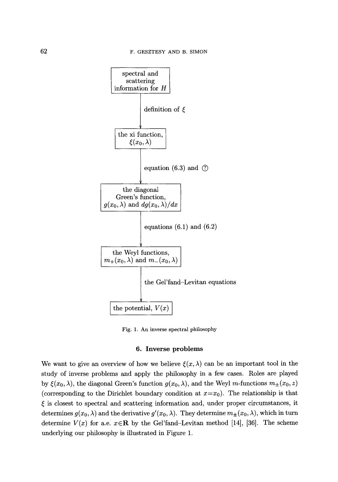

Fig. 1. An inverse spectral philosophy

#### 6. Inverse problems

We want to give an overview of how we believe  $\xi(x,\lambda)$  can be an important tool in the study of inverse problems and apply the philosophy in a few cases. Roles are played by  $\xi(x_0, \lambda)$ , the diagonal Green's function  $g(x_0, \lambda)$ , and the Weyl m-functions  $m_{\pm}(x_0, z)$ (corresponding to the Dirichlet boundary condition at  $x=x_0$ ). The relationship is that  $\xi$  is closest to spectral and scattering information and, under proper circumstances, it determines  $g(x_0, \lambda)$  and the derivative  $g'(x_0, \lambda)$ . They determine  $m_{\pm}(x_0, \lambda)$ , which in turn determine  $V(x)$  for a.e.  $x \in \mathbb{R}$  by the Gel'fand-Levitan method [14], [36]. The scheme underlying our philosophy is illustrated in Figure 1.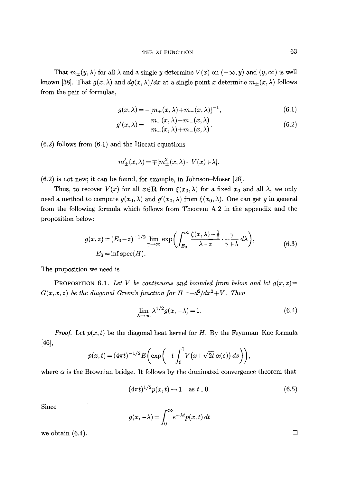That  $m_{\pm}(y, \lambda)$  for all  $\lambda$  and a single y determine  $V(x)$  on  $(-\infty, y)$  and  $(y, \infty)$  is well known [38]. That  $g(x, \lambda)$  and  $dg(x, \lambda)/dx$  at a single point x determine  $m_{\pm}(x, \lambda)$  follows from the pair of formulae,

$$
g(x,\lambda) = -[m_+(x,\lambda) + m_-(x,\lambda)]^{-1},
$$
\n(6.1)

$$
g'(x,\lambda) = -\frac{m_+(x,\lambda) - m_-(x,\lambda)}{m_+(x,\lambda) + m_-(x,\lambda)}.\tag{6.2}
$$

(6.2) follows from (6.1) and the Riccati equations

$$
m'_{\pm}(x,\lambda)=\mp[m_{\pm}^2(x,\lambda)-V(x)\!+\!\lambda].
$$

(6.2) is not new; it can be found, for example, in Johnson-Moser [26].

Thus, to recover  $V(x)$  for all  $x \in \mathbb{R}$  from  $\xi(x_0, \lambda)$  for a fixed  $x_0$  and all  $\lambda$ , we only need a method to compute  $g(x_0, \lambda)$  and  $g'(x_0, \lambda)$  from  $\xi(x_0, \lambda)$ . One can get g in general from the following formula which follows from Theorem A.2 in the appendix and the proposition below:

$$
g(x, z) = (E_0 - z)^{-1/2} \lim_{\gamma \to \infty} \exp\left(\int_{E_0}^{\infty} \frac{\xi(x, \lambda) - \frac{1}{2}}{\lambda - z} \cdot \frac{\gamma}{\gamma + \lambda} d\lambda\right),
$$
  
\n
$$
E_0 = \inf \operatorname{spec}(H). \tag{6.3}
$$

The proposition we need is

PROPOSITION 6.1. Let V be continuous and bounded from below and let  $g(x, z)$  $G(x, x, z)$  be the diagonal Green's function for  $H = -d^2/dx^2 + V$ . Then

$$
\lim_{\lambda \to \infty} \lambda^{1/2} g(x, -\lambda) = 1.
$$
\n(6.4)

*Proof.* Let  $p(x, t)$  be the diagonal heat kernel for H. By the Feynman-Kac formula [46],

$$
p(x,t) = (4\pi t)^{-1/2} E\bigg(\exp\bigg(-t\int_0^1 V\big(x+\sqrt{2t}\,\alpha(s)\big)\,ds\bigg)\bigg),\,
$$

where  $\alpha$  is the Brownian bridge. It follows by the dominated convergence theorem that

$$
(4\pi t)^{1/2} p(x,t) \to 1 \quad \text{as } t \downarrow 0. \tag{6.5}
$$

Since

$$
g(x, -\lambda) = \int_0^\infty e^{-\lambda t} p(x, t) dt
$$

we obtain  $(6.4)$ .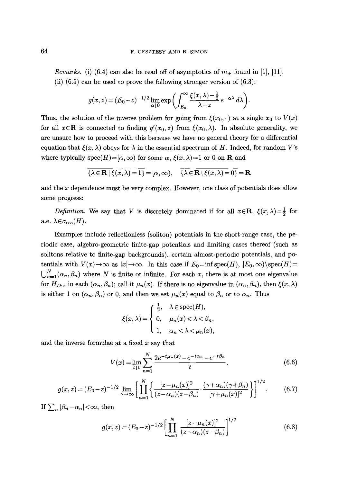*Remarks.* (i) (6.4) can also be read off of asymptotics of  $m<sub>±</sub>$  found in [1], [11]. (ii)  $(6.5)$  can be used to prove the following stronger version of  $(6.3)$ :

$$
g(x, z) = (E_0 - z)^{-1/2} \lim_{\alpha \downarrow 0} \exp \biggl( \int_{E_0}^{\infty} \frac{\xi(x, \lambda) - \frac{1}{2}}{\lambda - z} e^{-\alpha \lambda} d\lambda \biggr).
$$

Thus, the solution of the inverse problem for going from  $\xi(x_0, \cdot)$  at a single  $x_0$  to  $V(x)$ for all  $x \in \mathbf{R}$  is connected to finding  $g'(x_0, z)$  from  $\xi(x_0, \lambda)$ . In absolute generality, we are unsure how to proceed with this because we have no general theory for a differential equation that  $\zeta(x, \lambda)$  obeys for  $\lambda$  in the essential spectrum of H. Indeed, for random V's where typically spec $(H)=[\alpha,\infty)$  for some  $\alpha, \xi(x,\lambda)=1$  or 0 on **R** and

$$
\overline{\{\lambda \in \mathbf{R} \mid \xi(x,\lambda) = 1\}} = [\alpha, \infty), \quad \overline{\{\lambda \in \mathbf{R} \mid \xi(x,\lambda) = 0\}} = \mathbf{R}
$$

and the x dependence must be very complex. However, one class of potentials does allow some progress:

*Definition.* We say that V is discretely dominated if for all  $x \in \mathbb{R}$ ,  $\xi(x, \lambda) = \frac{1}{2}$  for a.e.  $\lambda \in \sigma_{\text{ess}}(H)$ .

Examples include reflectionless (soliton) potentials in the short-range case, the periodic case, algebro-geometric finite-gap potentials and limiting cases thereof (such as solitons relative to finite-gap backgrounds), certain almost-periodic potentials, and potentials with  $V(x) \to \infty$  as  $|x| \to \infty$ . In this case if  $E_0 = \inf \operatorname{spec}(H)$ ,  $[E_0, \infty) \setminus \operatorname{spec}(H)$  $\bigcup_{n=1}^{N}(\alpha_n,\beta_n)$  where N is finite or infinite. For each x, there is at most one eigenvalue for  $H_{D;x}$  in each  $(\alpha_n,\beta_n)$ ; call it  $\mu_n(x)$ . If there is no eigenvalue in  $(\alpha_n,\beta_n)$ , then  $\xi(x,\lambda)$ is either 1 on  $(\alpha_n,\beta_n)$  or 0, and then we set  $\mu_n(x)$  equal to  $\beta_n$  or to  $\alpha_n$ . Thus

$$
\xi(x,\lambda) = \begin{cases} \frac{1}{2}, & \lambda \in \text{spec}(H), \\ 0, & \mu_n(x) < \lambda < \beta_n, \\ 1, & \alpha_n < \lambda < \mu_n(x), \end{cases}
$$

and the inverse formulae at a fixed  $x$  say that

$$
V(x) = \lim_{t \downarrow 0} \sum_{n=1}^{N} \frac{2e^{-t\mu_n(x)} - e^{-t\alpha_n} - e^{-t\beta_n}}{t},
$$
\n(6.6)

$$
g(x,z) = (E_0 - z)^{-1/2} \lim_{\gamma \to \infty} \left[ \prod_{n=1}^N \left\{ \frac{[z - \mu_n(x)]^2}{(z - \alpha_n)(z - \beta_n)} \cdot \frac{(\gamma + \alpha_n)(\gamma + \beta_n)}{[\gamma + \mu_n(x)]^2} \right\} \right]^{1/2}.
$$
 (6.7)

If  $\sum_{n} |\beta_n-\alpha_n| < \infty$ , then

$$
g(x, z) = (E_0 - z)^{-1/2} \left[ \prod_{n=1}^{N} \frac{[z - \mu_n(x)]^2}{(z - \alpha_n)(z - \beta_n)} \right]^{1/2}
$$
(6.8)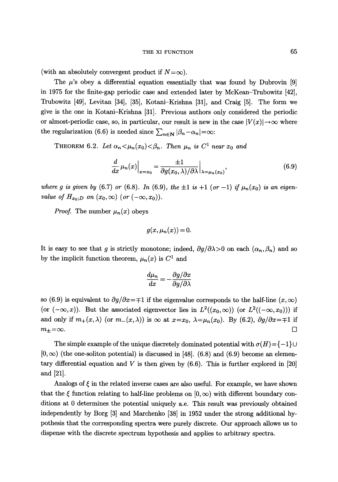#### THE XI FUNCTION 65

(with an absolutely convergent product if  $N=\infty$ ).

The  $\mu$ 's obey a differential equation essentially that was found by Dubrovin [9] in 1975 for the finite-gap periodic case and extended later by McKean-Trubowitz [42], Trubowitz [49], Levitan [34], [35], Kotani-Krishna [31], and Craig [5]. The form we give is the one in Kotani-Krishna [31]. Previous authors only considered the periodic or almost-periodic case, so, in particular, our result is new in the case  $|V(x)| \rightarrow \infty$  where the regularization (6.6) is needed since  $\sum_{n\in\mathbf{N}} |\beta_n-\alpha_n|=\infty$ :

THEOREM 6.2. Let  $\alpha_n < \mu_n(x_0) < \beta_n$ . Then  $\mu_n$  is  $C^1$  near  $x_0$  and

$$
\frac{d}{dx}\mu_n(x)\Big|_{x=x_0} = \frac{\pm 1}{\partial g(x_0,\lambda)/\partial\lambda}\Big|_{\lambda=\mu_n(x_0)},\tag{6.9}
$$

*where g is given by* (6.7) *or* (6.8). *In* (6.9), *the*  $\pm 1$  *is*  $+1$  (*or*  $-1$ ) *if*  $\mu_n(x_0)$  *is an eigenvalue of*  $H_{x_0;D}$  *on*  $(x_0,\infty)$  *(or*  $(-\infty,x_0)$ *).* 

*Proof.* The number  $\mu_n(x)$  obeys

$$
g(x,\mu_n(x))=0.
$$

It is easy to see that g is strictly monotone; indeed,  $\partial g/\partial \lambda > 0$  on each  $(\alpha_n, \beta_n)$  and so by the implicit function theorem,  $\mu_n(x)$  is  $C^1$  and

$$
\frac{d\mu_n}{dx}=-\frac{\partial g/\partial x}{\partial g/\partial\lambda}
$$

so (6.9) is equivalent to  $\partial g/\partial x = \pm 1$  if the eigenvalue corresponds to the half-line  $(x, \infty)$ (or  $(-\infty, x)$ ). But the associated eigenvector lies in  $L^2((x_0, \infty))$  (or  $L^2((-\infty, x_0))$ ) if and only if  $m_+(x,\lambda)$  (or  $m_-(x,\lambda)$ ) is  $\infty$  at  $x=x_0$ ,  $\lambda=\mu_n(x_0)$ . By (6.2),  $\partial g/\partial x=\pm 1$  if  $m_{\pm} = \infty$ .

The simple example of the unique discretely dominated potential with  $\sigma(H) = \{-1\} \cup$  $(0, \infty)$  (the one-soliton potential) is discussed in [48]. (6.8) and (6.9) become an elementary differential equation and V is then given by  $(6.6)$ . This is further explored in [20] and [21].

Analogs of  $\xi$  in the related inverse cases are also useful. For example, we have shown that the  $\xi$  function relating to half-line problems on  $[0,\infty)$  with different boundary conditions at 0 determines the potential uniquely a.e. This result was previously obtained independently by Borg [3] and Marchenko [38] in 1952 under the strong additional hypothesis that the corresponding spectra were purely discrete. Our approach allows us to dispense with the discrete spectrum hypothesis and applies to arbitrary spectra.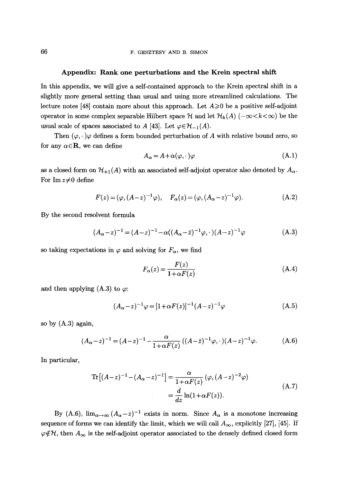### Appendix: Rank **one perturbations and the** Krein spectral shift

In this appendix, we will give a self-contained approach to the Krein spectral shift in a slightly more general setting than usual and using more streamlined calculations. The lecture notes [48] contain more about this approach. Let  $A \geqslant 0$  be a positive self-adjoint operator in some complex separable Hilbert space  $\mathcal H$  and let  $\mathcal H_k(A)$   $(-\infty < k < \infty)$  be the usual scale of spaces associated to A [43]. Let  $\varphi \in \mathcal{H}_{-1}(A)$ .

Then  $(\varphi, \cdot)\varphi$  defines a form bounded perturbation of A with relative bound zero, so for any  $\alpha \in \mathbb{R}$ , we can define

$$
A_{\alpha} = A + \alpha(\varphi, \cdot)\varphi \tag{A.1}
$$

as a closed form on  $\mathcal{H}_{+1}(A)$  with an associated self-adjoint operator also denoted by  $A_{\alpha}$ . For Im  $z\neq 0$  define

$$
F(z) = (\varphi, (A - z)^{-1} \varphi), \quad F_{\alpha}(z) = (\varphi, (A_{\alpha} - z)^{-1} \varphi).
$$
 (A.2)

By the second resolvent formula

$$
(A_{\alpha}-z)^{-1} = (A-z)^{-1} - \alpha((A_{\alpha}-\bar{z})^{-1}\varphi, \cdot)(A-z)^{-1}\varphi
$$
 (A.3)

so taking expectations in  $\varphi$  and solving for  $F_{\alpha}$ , we find

$$
F_{\alpha}(z) = \frac{F(z)}{1 + \alpha F(z)}\tag{A.4}
$$

and then applying  $(A.3)$  to  $\varphi$ :

$$
(A_{\alpha}-z)^{-1}\varphi = [1+\alpha F(z)]^{-1}(A-z)^{-1}\varphi
$$
 (A.5)

so by (A.3) again,

$$
(A_{\alpha}-z)^{-1} = (A-z)^{-1} - \frac{\alpha}{1+\alpha F(z)} ((A-\bar{z})^{-1}\varphi, \cdot)(A-z)^{-1}\varphi.
$$
 (A.6)

In particular,

$$
\text{Tr}\left[ (A-z)^{-1} - (A_{\alpha} - z)^{-1} \right] = \frac{\alpha}{1 + \alpha F(z)} \left( \varphi, (A-z)^{-2} \varphi \right)
$$
\n
$$
= \frac{d}{dz} \ln(1 + \alpha F(z)). \tag{A.7}
$$

By (A.6),  $\lim_{\alpha\to\infty} (A_{\alpha}-z)^{-1}$  exists in norm. Since  $A_{\alpha}$  is a monotone increasing sequence of forms we can identify the limit, which we will call  $A_{\infty}$ , explicitly [27], [45]. If  $\varphi \notin \mathcal{H}$ , then  $A_{\infty}$  is the self-adjoint operator associated to the densely defined closed form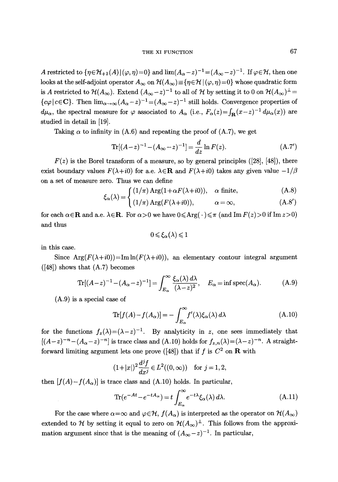# THE XI FUNCTION 67

A restricted to  $\{\eta \in \mathcal{H}_{+1}(A)| (\varphi, \eta)=0\}$  and  $\lim_{A_\alpha \to 0^-} (A_\alpha - z)^{-1} = (A_\alpha - z)^{-1}$ . If  $\varphi \in \mathcal{H}$ , then one looks at the self-adjoint operator  $A_{\infty}$  on  $\mathcal{H}(A_{\infty}) \equiv \{\eta \in \mathcal{H} \mid (\varphi, \eta) = 0\}$  whose quadratic form is A restricted to  $\mathcal{H}(A_{\infty})$ . Extend  $(A_{\infty}-z)^{-1}$  to all of  $\mathcal{H}$  by setting it to 0 on  $\mathcal{H}(A_{\infty})^{\perp}$  ${c\varphi}\,|\,c\in\mathbf{C}$ . Then  $\lim_{\alpha\to\infty}(A_{\alpha}-z)^{-1}=(A_{\infty}-z)^{-1}$  still holds. Convergence properties of  $d\mu_{\alpha}$ , the spectral measure for  $\varphi$  associated to  $A_{\alpha}$  (i.e.,  $F_{\alpha}(z) = \int_{\mathbf{R}} (x-z)^{-1} d\mu_{\alpha}(x)$ ) are studied in detail in [19].

Taking  $\alpha$  to infinity in (A.6) and repeating the proof of (A.7), we get

$$
\text{Tr}[(A-z)^{-1} - (A_{\infty} - z)^{-1}] = \frac{d}{dz} \ln F(z). \tag{A.7'}
$$

 $F(z)$  is the Borel transform of a measure, so by general principles ([28], [48]), there exist boundary values  $F(\lambda + i0)$  for a.e.  $\lambda \in \mathbf{R}$  and  $F(\lambda + i0)$  takes any given value  $-1/\beta$ on a set of measure zero. Thus we can define

$$
\xi_{\alpha}(\lambda) = \begin{cases} (1/\pi) \operatorname{Arg}(1 + \alpha F(\lambda + i0)), & \alpha \text{ finite}, \\ (1/\pi) \operatorname{Arg}(\lambda + i0), & (1/\pi) \end{cases}
$$

$$
\zeta_{\alpha}(\lambda) = \left( (1/\pi) \operatorname{Arg}(F(\lambda + i0)), \alpha = \infty, \right) \qquad (\text{A.8}')
$$

for each  $\alpha \in \mathbb{R}$  and a.e.  $\lambda \in \mathbb{R}$ . For  $\alpha > 0$  we have  $0 \leq \text{Arg}(\cdot \leq \pi \text{ (and Im } F(z) > 0 \text{ if Im } z > 0)$ and thus

$$
0\!\leqslant\!\xi_\alpha(\lambda)\!\leqslant\!1
$$

in this case.

Since  $Arg(F(\lambda+i0))=Im\ln(F(\lambda+i0))$ , an elementary contour integral argument  $([48])$  shows that  $(A.7)$  becomes

$$
\text{Tr}[(A-z)^{-1} - (A_{\alpha} - z)^{-1}] = \int_{E_{\alpha}}^{\infty} \frac{\xi_{\alpha}(\lambda) d\lambda}{(\lambda - z)^2}, \quad E_{\alpha} = \inf \text{spec}(A_{\alpha}).
$$
 (A.9)

(A.9) is a special case of

$$
\text{Tr}[f(A) - f(A_{\alpha})] = -\int_{E_{\alpha}}^{\infty} f'(\lambda)\xi_{\alpha}(\lambda) d\lambda \tag{A.10}
$$

for the functions  $f_z(\lambda)=(\lambda-z)^{-1}$ . By analyticity in z, one sees immediately that  $[(A-z)^{-n}-(A_{\alpha}-z)^{-n}]$  is trace class and  $(A.10)$  holds for  $f_{z,n}(\lambda)=(\lambda-z)^{-n}$ . A straightforward limiting argument lets one prove ([48]) that if f is  $C^2$  on **R** with

$$
(1+|x|)^2 \frac{d^j f}{dx^j} \in L^2((0,\infty)) \quad \text{for } j=1,2,
$$

then  $[f(A)-f(A_{\alpha})]$  is trace class and (A.10) holds. In particular,

$$
\text{Tr}(e^{-At} - e^{-tA_{\alpha}}) = t \int_{E_{\alpha}}^{\infty} e^{-t\lambda} \xi_{\alpha}(\lambda) d\lambda.
$$
 (A.11)

For the case where  $\alpha = \infty$  and  $\varphi \in H$ ,  $f(A_{\alpha})$  is interpreted as the operator on  $\mathcal{H}(A_{\infty})$ extended to H by setting it equal to zero on  $\mathcal{H}(A_{\infty})^{\perp}$ . This follows from the approximation argument since that is the meaning of  $(A_{\infty}-z)^{-1}$ . In particular,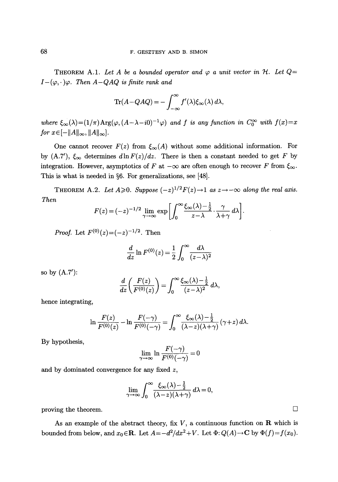THEOREM A.1. Let A be a bounded operator and  $\varphi$  a unit vector in H. Let  $Q=$  $I-(\varphi,\cdot)\varphi$ . Then  $A-QAQ$  is finite rank and

$$
\text{Tr}(A - QAQ) = -\int_{-\infty}^{\infty} f'(\lambda)\xi_{\infty}(\lambda) d\lambda,
$$

where  $\xi_{\infty}(\lambda)=(1/\pi)\arg(\varphi,(A-\lambda-i0)^{-1}\varphi)$  and f is any function in  $C_0^{\infty}$  with  $f(x)=x$ for  $x \in [-\|A\|_{\infty}, \|A\|_{\infty}].$ 

One cannot recover  $F(z)$  from  $\xi_{\infty}(A)$  without some additional information. For by  $(A.7')$ ,  $\xi_{\infty}$  determines  $d\ln F(z)/dz$ . There is then a constant needed to get F by integration. However, asymptotics of F at  $-\infty$  are often enough to recover F from  $\xi_{\infty}$ . This is what is needed in  $\S6$ . For generalizations, see [48].

THEOREM A.2. Let  $A \geqslant 0$ . Suppose  $(-z)^{1/2}F(z) \rightarrow 1$  as  $z \rightarrow -\infty$  along the real axis. *Then* 

$$
F(z) = (-z)^{-1/2} \lim_{\gamma \to \infty} \exp \left[ \int_0^\infty \frac{\xi_\infty(\lambda) - \frac{1}{2}}{z - \lambda} \cdot \frac{\gamma}{\lambda + \gamma} d\lambda \right].
$$

*Proof.* Let  $F^{(0)}(z) = (-z)^{-1/2}$ . Then

$$
\frac{d}{dz}\ln F^{(0)}(z) = \frac{1}{2}\int_0^\infty \frac{d\lambda}{(z-\lambda)^2}
$$

so by (A.7'):

$$
\frac{d}{dz}\left(\frac{F(z)}{F^{(0)}(z)}\right) = \int_0^\infty \frac{\xi_\infty(\lambda) - \frac{1}{2}}{(z-\lambda)^2} d\lambda,
$$

hence integrating,

$$
\ln \frac{F(z)}{F^{(0)}(z)} - \ln \frac{F(-\gamma)}{F^{(0)}(-\gamma)} = \int_0^\infty \frac{\xi_\infty(\lambda) - \frac{1}{2}}{(\lambda - z)(\lambda + \gamma)} (\gamma + z) d\lambda.
$$

By hypothesis,

$$
\lim_{\gamma \to \infty} \ln \frac{F(-\gamma)}{F^{(0)}(-\gamma)} = 0
$$

and by dominated convergence for any fixed z,

$$
\lim_{\gamma \to \infty} \int_0^\infty \frac{\xi_\infty(\lambda) - \frac{1}{2}}{(\lambda - z)(\lambda + \gamma)} d\lambda = 0,
$$

proving the theorem.  $\Box$ 

As an example of the abstract theory, fix  $V$ , a continuous function on  $\bf{R}$  which is bounded from below, and  $x_0 \in \mathbb{R}$ . Let  $A = -d^2/dx^2 + V$ . Let  $\Phi: Q(A) \to \mathbb{C}$  by  $\Phi(f) = f(x_0)$ .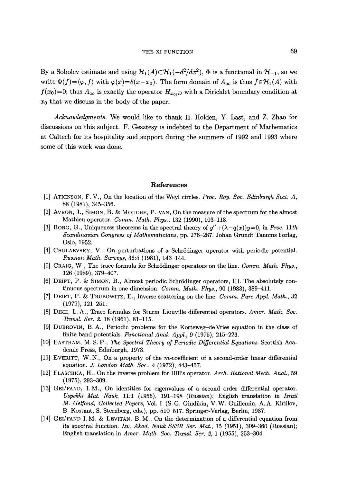By a Sobolev estimate and using  $\mathcal{H}_1(A) \subset \mathcal{H}_1(-d^2/dx^2)$ ,  $\Phi$  is a functional in  $\mathcal{H}_{-1}$ , so we write  $\Phi(f)=\langle \varphi, f \rangle$  with  $\varphi(x)=\delta(x-x_0)$ . The form domain of  $A_\infty$  is thus  $f \in \mathcal{H}_1(A)$  with  $f(x_0)=0$ ; thus  $A_{\infty}$  is exactly the operator  $H_{x_0;D}$  with a Dirichlet boundary condition at  $x_0$  that we discuss in the body of the paper.

*Acknowledgments.* We would like to thank H. Holden, Y. Last, and Z. Zhao for discussions on this subject. F. Gesztesy is indebted to the Department of Mathematics at Caltech for its hospitality and support during the summers of 1992 and 1993 where some of this work was done.

## References

- [1] ATKINSON, F.V., On the location of the Weyl circles. *Proc. Roy. Soc. Edinburgh Sect. A,*  88 (1981), 345-356.
- [2] AVRON, J., SIMON, B.  $&$  MOUCHE, P. VAN, On the measure of the spectrum for the almost Mathieu operator. *Comm. Math. Phys.,* 132 (1990), 103-118.
- [3] BORG, G., Uniqueness theorems in the spectral theory of  $y'' + (\lambda q(x))y = 0$ , in *Proc.* 11th *Scandinavian Congress of Mathematicians,* pp. 276-287. Johan Grundt Tanums Forlag, Oslo, 1952.
- [4] CHULAEVSKY, V., On perturbations of a Schrödinger operator with periodic potential. *Russian Math. Surveys,* 36:5 (1981), 143-144.
- [5] CRAIG, W., The trace formula for Schrödinger operators on the line. *Comm. Math. Phys.*, 126 (1989), 379-407.
- [6] DEIFT, P. & SIMON, B., Almost periodic Schrödinger operators, III. The absolutely continuous spectrum in one dimension. *Comm. Math. Phys.,* 90 (1983), 389-411.
- [7] DEIFT, P. ~ TRUBOWITZ, E., Inverse scattering on the line. *Comm. Pure Appl. Math.,* 32 (1979), 121-251.
- [8] DIKII, L.A., Trace formulas for Sturm-Liouville differential operators. *Amer. Math. Soc. Transl. Set. 2,* 18 (1961), 81-115.
- [9] DUBROVIN, B.A., Periodic problems for the Korteweg-deVries equation in the class of finite band potentials. *Functional Anal. Appl.,* 9 (1975), 215-223.
- [10] EASTHAM, M. S. P., *The Spectral Theory of Periodic Differential Equations.* Scottish Academic Press, Edinburgh, 1973.
- [11] EVERITT, W.N., On a property of the m-coefficient of a second-order linear differential equatioa. J. *London Math. Soc.,* 4 (1972), 443-457.
- [12] FLASCHKA, H., On the inverse problem for Hill's operator. *Arch. Rational Mech. Anal.*, 59 (1975), 293-309.
- [13] GEL'FAND, I.M., On identities for eigenvalues of a second order differential operator. *Uspekhi Mat. Nauk,* 11:1 (1956), 191-198 (Russian); English translation in *Izrail M. Gelfand, Collected Papers,* Vol. I (S. G. Gindikin, V.W. Guillemin, A.A. Kirillov, B. Kostant, S. Sternberg, eds.), pp. 510-517. Springer-Verlag, Berlin, 1987.
- [14] GEL'FAND I.M. & LEVITAN, B.M., On the determination of a differential equation from its spectral function. *Izv. Akad. Nauk SSSR Ser. Mat.,* 15 (1951), 309-360 (Russian); English translation in *Amer. Math. Soc. Transl. Set.* 2, 1 (1955), 253-304.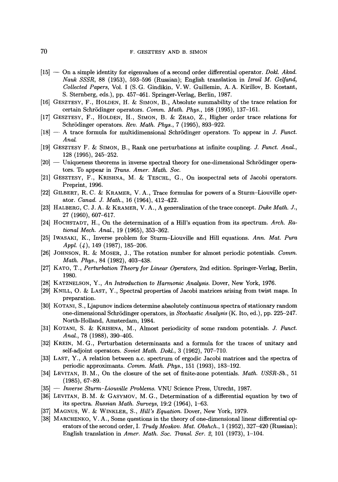- [15] -- On a simple identity for eigenvalues of a second order differential operator. *Dokl. Akad. Nauk SSSR,* 88 (1953), 593-596 (Russian); English translation in *Izrail M. Gelfand, Collected Papers,* Vol. I (S. G. Gindikin, V.W. Guillemin, A.A. Kirillov, B. Kostant, S. Sternberg, eds.), pp. 457-461. Springer-Verlag, Berlin, 1987.
- $[16]$  GESZTESY, F., HOLDEN, H. & SIMON, B., Absolute summability of the trace relation for certain Schrödinger operators. *Comm. Math. Phys.*, 168 (1995), 137-161.
- [17] GESZTESY, F., HOLDEN, H., SIMON, B. & ZHAO, Z., Higher order trace relations for Schrödinger operators. *Rev. Math. Phys.*, 7 (1995), 893-922.
- [18] -- A trace formula for multidimensional Schr5dinger operators. To appear in J. *Funct. Anal.*
- [19] GESZTESY F. & SIMON, B., Rank one perturbations at infinite coupling. J. *Funct. Anal.*, 128 (1995), 245-252.
- $[20]$  -- Uniqueness theorems in inverse spectral theory for one-dimensional Schrödinger operators. To appear in *Trans. Amer. Math. Soc.*
- [21] GESZTESY, F., KRISHNA, M. & TESCHL, G., On isospectral sets of Jacobi operators. Preprint, 1996.
- [22] GILBERT, R.C. & KRAMER, V.A., Trace formulas for powers of a Sturm-Liouville operator. *Canad. J. Math.,* 16 (1964), 412-422.
- [23] HALBERG, C. J. A. & KRAMER, V. A., A generalization of the trace concept. *Duke Math. J.*, 27 (1960), 607--617.
- [24] HOCHSTADT, H., On the determination of a Hill's equation from its spectrum. *Arch. Rational Mech. Anal.,* 19 (1965), 353-362.
- [25] IWASAKI, K., Inverse problem for Sturm-Liouville and Hill equations. *Ann. Mat. Pura Appl.* (4), 149 (1987), 185-206.
- [26] JOHNSON, R. & MOSER, J., The rotation number for almost periodic potentials. *Comm. Math. Phys.,* 84 (1982), 403-438.
- [27] KATO, T., *Perturbation Theory for Linear Operators,* 2nd edition. Springer-Verlag, Berlin, 1980.
- [28] KATZNELSON, Y., *An Introduction to Harmonic Analysis.* Dover, New York, 1976.
- [29] KNILL, O. & LAST, Y., Spectral properties of Jacobi matrices arising from twist maps. In preparation.
- [30] KOTANI, S., Ljapunov indices determine absolutely continuous spectra of stationary random one-dimensional Schr5dinger operators, in *Stochastic Analysis* (K. Ito, ed.), pp. 225-247. North-Holland, Amsterdam, 1984.
- [31] KOTANI, S. & KRISHNA, M., Almost periodicity of some random potentials. J. *Funct. Anal.,* 78 (1988), 390-405.
- [32] KREIN, M.G., Perturbation determinants and a formula for the traces of unitary and self-adjoint operators. *Soviet Math. Dokl,,* 3 (1962), 707-710.
- [33] LAST, Y., A relation between a.c. spectrum of ergodic Jacobi matrices and the spectra of periodic approximants. *Comm. Math. Phys.,* 151 (1993), 183-192.
- [34] LEVITAN, B.M., On the closure of the set of finite-zone potentials. *Math. USSR-Sb.,* 51 (1985), 67-89.
- [35] -- *Inverse Sturm-Liouville Problems.* VNU Science Press, Utrecht, 1987.
- [36] LEVITAN, B.M. & GASYMOV, M.G., Determination of a differential equation by two of its spectra. *Russian Math. Surveys,* 19:2 (1964), 1-63.
- [37] MAGNUS, W. & WINKLER, S., *Hill's Equation*. Dover, New York, 1979.
- [38] MARCHENKO, V. A., Some questions in the theory of one-dimensional linear differential operators of the second order, I. *Trudy Moskov. Mat. Obshch.,* 1 (1952), 327-420 (Russian); English translation in *Amer. Math. Soc. Transl. Ser. 2,* 101 (1973), 1-104.